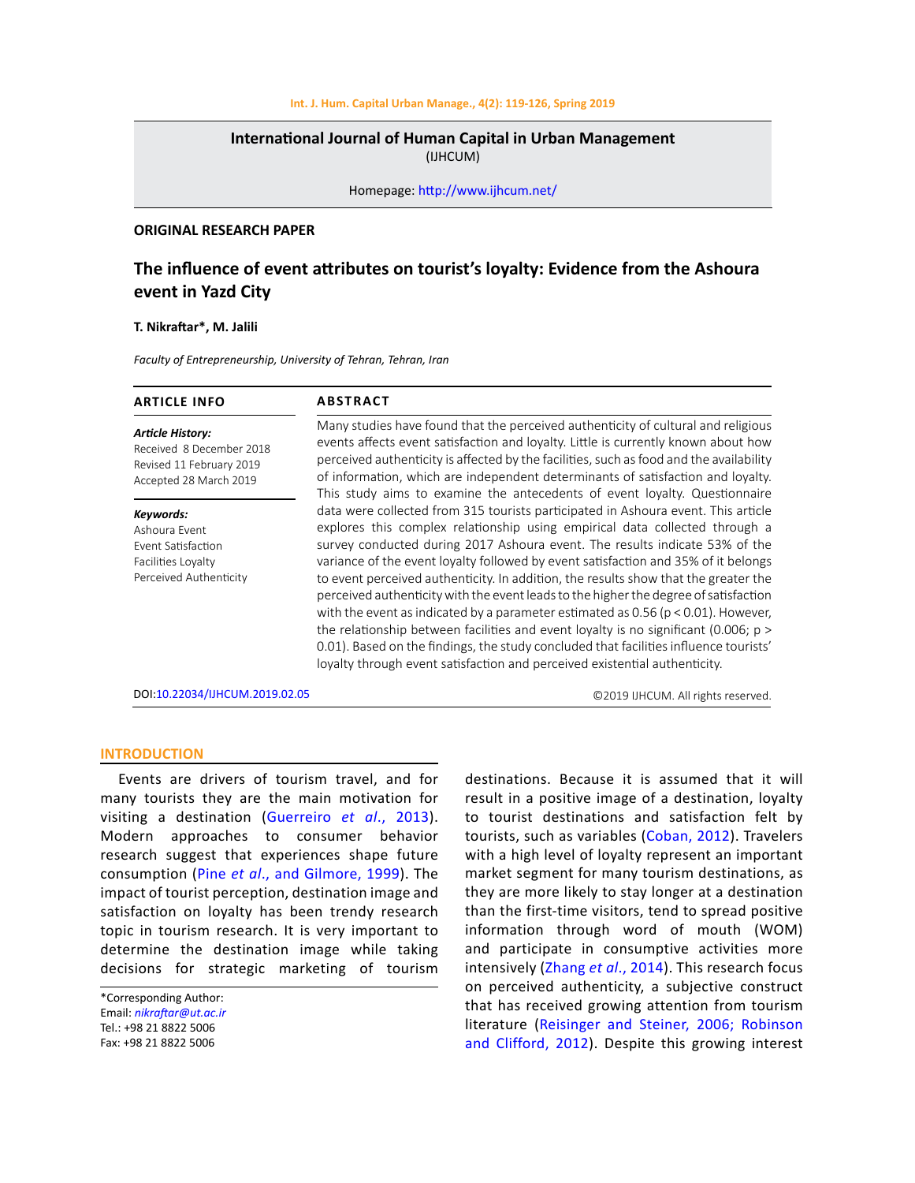### **Int. J. Hum. Capital Urban Manage., 4(2): 119-126, Spring 2019**

# **International Journal of Human Capital in Urban Management**  (IJHCUM)

Homepage: http://www.ijhcum.net/

### **ORIGINAL RESEARCH PAPER**

# **The influence of event attributes on tourist's loyalty: Evidence from the Ashoura event in Yazd City**

#### **T. Nikraftar\*, M. Jalili**

*Faculty of Entrepreneurship, University of Tehran, Tehran, Iran*

| <b>ARTICLE INFO</b>                                                                                       | <b>ABSTRACT</b>                                                                                                                                                                                                                                                                                                                                                                                                                                                                                                                                                                                                                                                                                                                                                                                                                                                               |
|-----------------------------------------------------------------------------------------------------------|-------------------------------------------------------------------------------------------------------------------------------------------------------------------------------------------------------------------------------------------------------------------------------------------------------------------------------------------------------------------------------------------------------------------------------------------------------------------------------------------------------------------------------------------------------------------------------------------------------------------------------------------------------------------------------------------------------------------------------------------------------------------------------------------------------------------------------------------------------------------------------|
| <b>Article History:</b><br>Received 8 December 2018<br>Revised 11 February 2019<br>Accepted 28 March 2019 | Many studies have found that the perceived authenticity of cultural and religious<br>events affects event satisfaction and loyalty. Little is currently known about how<br>perceived authenticity is affected by the facilities, such as food and the availability<br>of information, which are independent determinants of satisfaction and loyalty.<br>This study aims to examine the antecedents of event loyalty. Questionnaire                                                                                                                                                                                                                                                                                                                                                                                                                                           |
| Keywords:<br>Ashoura Fvent<br>Event Satisfaction<br>Facilities Loyalty<br>Perceived Authenticity          | data were collected from 315 tourists participated in Ashoura event. This article<br>explores this complex relationship using empirical data collected through a<br>survey conducted during 2017 Ashoura event. The results indicate 53% of the<br>variance of the event loyalty followed by event satisfaction and 35% of it belongs<br>to event perceived authenticity. In addition, the results show that the greater the<br>perceived authenticity with the event leads to the higher the degree of satisfaction<br>with the event as indicated by a parameter estimated as 0.56 ( $p < 0.01$ ). However,<br>the relationship between facilities and event loyalty is no significant (0.006; $p >$<br>0.01). Based on the findings, the study concluded that facilities influence tourists'<br>loyalty through event satisfaction and perceived existential authenticity. |
| DOI:10.22034/IJHCUM.2019.02.05                                                                            | ©2019 IJHCUM. All rights reserved.                                                                                                                                                                                                                                                                                                                                                                                                                                                                                                                                                                                                                                                                                                                                                                                                                                            |

#### **INTRODUCTION**

Events are drivers of tourism travel, and for many tourists they are the main motivation for visiting a destination (Guerreiro *et al*., 2013). Modern approaches to consumer behavior research suggest that experiences shape future consumption (Pine *et al*., and Gilmore, 1999). The impact of tourist perception, destination image and satisfaction on loyalty has been trendy research topic in tourism research. It is very important to determine the destination image while taking decisions for strategic marketing of tourism

\*Corresponding Author: Email: *nikraftar@ut.ac.ir* Tel.: +98 21 8822 5006 Fax: +98 21 8822 5006

destinations. Because it is assumed that it will result in a positive image of a destination, loyalty to tourist destinations and satisfaction felt by tourists, such as variables (Coban, 2012). Travelers with a high level of loyalty represent an important market segment for many tourism destinations, as they are more likely to stay longer at a destination than the first-time visitors, tend to spread positive information through word of mouth (WOM) and participate in consumptive activities more intensively (Zhang *et al*., 2014). This research focus on perceived authenticity, a subjective construct that has received growing attention from tourism literature (Reisinger and Steiner, 2006; Robinson and Clifford, 2012). Despite this growing interest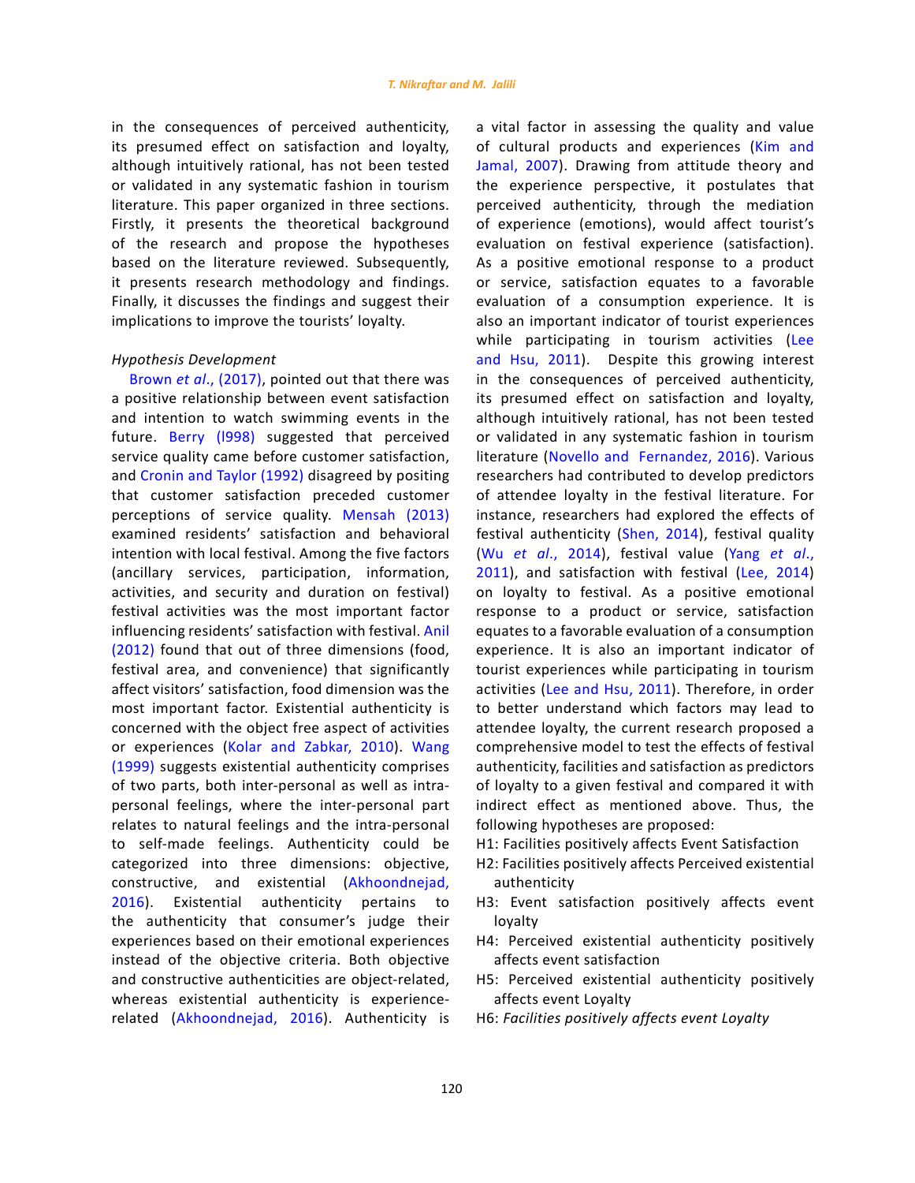in the consequences of perceived authenticity, its presumed effect on satisfaction and loyalty, although intuitively rational, has not been tested or validated in any systematic fashion in tourism literature. This paper organized in three sections. Firstly, it presents the theoretical background of the research and propose the hypotheses based on the literature reviewed. Subsequently, it presents research methodology and findings. Finally, it discusses the findings and suggest their implications to improve the tourists' loyalty.

# *Hypothesis Development*

Brown *et al*., (2017), pointed out that there was a positive relationship between event satisfaction and intention to watch swimming events in the future. Berry (l998) suggested that perceived service quality came before customer satisfaction, and Cronin and Taylor (1992) disagreed by positing that customer satisfaction preceded customer perceptions of service quality. Mensah (2013) examined residents' satisfaction and behavioral intention with local festival. Among the five factors (ancillary services, participation, information, activities, and security and duration on festival) festival activities was the most important factor influencing residents' satisfaction with festival. Anil (2012) found that out of three dimensions (food, festival area, and convenience) that significantly affect visitors' satisfaction, food dimension was the most important factor. Existential authenticity is concerned with the object free aspect of activities or experiences (Kolar and Zabkar, 2010). Wang (1999) suggests existential authenticity comprises of two parts, both inter-personal as well as intrapersonal feelings, where the inter-personal part relates to natural feelings and the intra-personal to self-made feelings. Authenticity could be categorized into three dimensions: objective, constructive, and existential (Akhoondnejad, 2016). Existential authenticity pertains to the authenticity that consumer's judge their experiences based on their emotional experiences instead of the objective criteria. Both objective and constructive authenticities are object-related, whereas existential authenticity is experiencerelated (Akhoondnejad, 2016). Authenticity is a vital factor in assessing the quality and value of cultural products and experiences (Kim and Jamal, 2007). Drawing from attitude theory and the experience perspective, it postulates that perceived authenticity, through the mediation of experience (emotions), would affect tourist's evaluation on festival experience (satisfaction). As a positive emotional response to a product or service, satisfaction equates to a favorable evaluation of a consumption experience. It is also an important indicator of tourist experiences while participating in tourism activities (Lee and Hsu, 2011). Despite this growing interest in the consequences of perceived authenticity, its presumed effect on satisfaction and loyalty, although intuitively rational, has not been tested or validated in any systematic fashion in tourism literature ([Novello](http://journals.sagepub.com/author/Novello%2C+Simone) and [Fernandez](http://journals.sagepub.com/author/Fernandez%2C+Pilar+Murias), 2016). Various researchers had contributed to develop predictors of attendee loyalty in the festival literature. For instance, researchers had explored the effects of festival authenticity (Shen, 2014), festival quality (Wu *et al*., 2014), festival value (Yang *et al*., 2011), and satisfaction with festival (Lee, 2014) on loyalty to festival. As a positive emotional response to a product or service, satisfaction equates to a favorable evaluation of a consumption experience. It is also an important indicator of tourist experiences while participating in tourism activities (Lee and Hsu, 2011). Therefore, in order to better understand which factors may lead to attendee loyalty, the current research proposed a comprehensive model to test the effects of festival authenticity, facilities and satisfaction as predictors of loyalty to a given festival and compared it with indirect effect as mentioned above. Thus, the following hypotheses are proposed:

- H1: Facilities positively affects Event Satisfaction
- H2: Facilities positively affects Perceived existential authenticity
- H3: Event satisfaction positively affects event loyalty
- H4: Perceived existential authenticity positively affects event satisfaction
- H5: Perceived existential authenticity positively affects event Loyalty
- H6: *Facilities positively affects event Loyalty*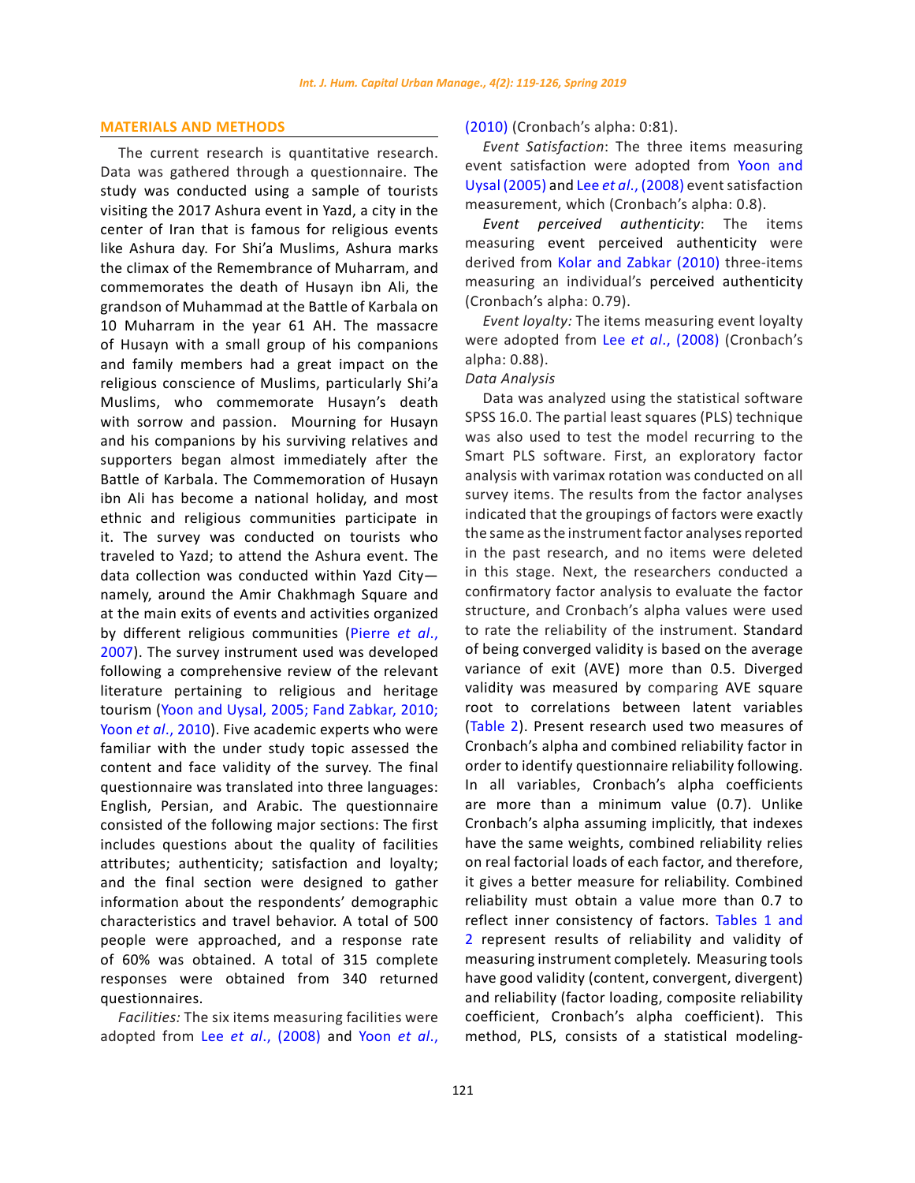# **MATERIALS AND METHODS**

The current research is quantitative research. Data was gathered through a questionnaire. The study was conducted using a sample of tourists visiting the 2017 Ashura event in Yazd, a city in the center of Iran that is famous for religious events like Ashura day. For [Shi'a](https://en.wikipedia.org/wiki/Shi%27a) Muslims, Ashura marks the climax of the [Remembrance of Muharram](https://en.wikipedia.org/wiki/Remembrance_of_Muharram), and commemorates the death of [Husayn ibn Ali](https://en.wikipedia.org/wiki/Husayn_ibn_Ali), the grandson of [Muhammad](https://en.wikipedia.org/wiki/Muhammad) at the [Battle of Karbala](https://en.wikipedia.org/wiki/Battle_of_Karbala) on 10 [Muharram](https://en.wikipedia.org/wiki/Muharram) in the year 61 AH. The massacre of Husayn with a small group of his companions and family members had a great impact on the religious conscience of Muslims, particularly [Shi'a](https://en.wikipedia.org/wiki/Shia_Islam)  [Muslims](https://en.wikipedia.org/wiki/Shia_Islam), who commemorate Husayn's death with sorrow and passion. Mourning for Husayn and his companions by his surviving relatives and supporters began almost immediately after the Battle of Karbala. The [Commemoration of Husayn](https://en.wikipedia.org/wiki/Commemoration_of_Husayn_ibn_Ali)  [ibn Ali](https://en.wikipedia.org/wiki/Commemoration_of_Husayn_ibn_Ali) has become a national holiday, and most ethnic and religious communities participate in it. The survey was conducted on tourists who traveled to Yazd; to attend the Ashura event. The data collection was conducted within Yazd City namely, around the Amir Chakhmagh Square and at the main exits of events and activities organized by different religious communities (Pierre *et al*., 2007). The survey instrument used was developed following a comprehensive review of the relevant literature pertaining to religious and heritage tourism (Yoon and Uysal, 2005; Fand Zabkar, 2010; Yoon *et al*., 2010). Five academic experts who were familiar with the under study topic assessed the content and face validity of the survey. The final questionnaire was translated into three languages: English, Persian, and Arabic. The questionnaire consisted of the following major sections: The first includes questions about the quality of facilities attributes; authenticity; satisfaction and loyalty; and the final section were designed to gather information about the respondents' demographic characteristics and travel behavior. A total of 500 people were approached, and a response rate of 60% was obtained. A total of 315 complete responses were obtained from 340 returned questionnaires.

*Facilities:* The six items measuring facilities were adopted from Lee *et al*., (2008) and Yoon *et al*., (2010) (Cronbach's alpha: 0:81).

*Event Satisfaction*: The three items measuring event satisfaction were adopted from Yoon and Uysal (2005) and Lee *et al*., (2008) event satisfaction measurement, which (Cronbach's alpha: 0.8).

*Event perceived authenticity*: The items measuring event perceived authenticity were derived from Kolar and Zabkar (2010) three-items measuring an individual's perceived authenticity (Cronbach's alpha: 0.79).

*Event loyalty:* The items measuring event loyalty were adopted from Lee *et al*., (2008) (Cronbach's alpha: 0.88).

# *Data Analysis*

Data was analyzed using the statistical software SPSS 16.0. The partial least squares (PLS) technique was also used to test the model recurring to the Smart PLS software. First, an exploratory factor analysis with varimax rotation was conducted on all survey items. The results from the factor analyses indicated that the groupings of factors were exactly the same as the instrument factor analyses reported in the past research, and no items were deleted in this stage. Next, the researchers conducted a confirmatory factor analysis to evaluate the factor structure, and Cronbach's alpha values were used to rate the reliability of the instrument. Standard of being converged validity is based on the average variance of exit (AVE) more than 0.5. Diverged validity was measured by comparing AVE square root to correlations between latent variables (Table 2). Present research used two measures of Cronbach's alpha and combined reliability factor in order to identify questionnaire reliability following. In all variables, Cronbach's alpha coefficients are more than a minimum value (0.7). Unlike Cronbach's alpha assuming implicitly, that indexes have the same weights, combined reliability relies on real factorial loads of each factor, and therefore, it gives a better measure for reliability. Combined reliability must obtain a value more than 0.7 to reflect inner consistency of factors. Tables 1 and 2 represent results of reliability and validity of measuring instrument completely. Measuring tools have good validity (content, convergent, divergent) and reliability (factor loading, composite reliability coefficient, Cronbach's alpha coefficient). This method, PLS, consists of a statistical modeling-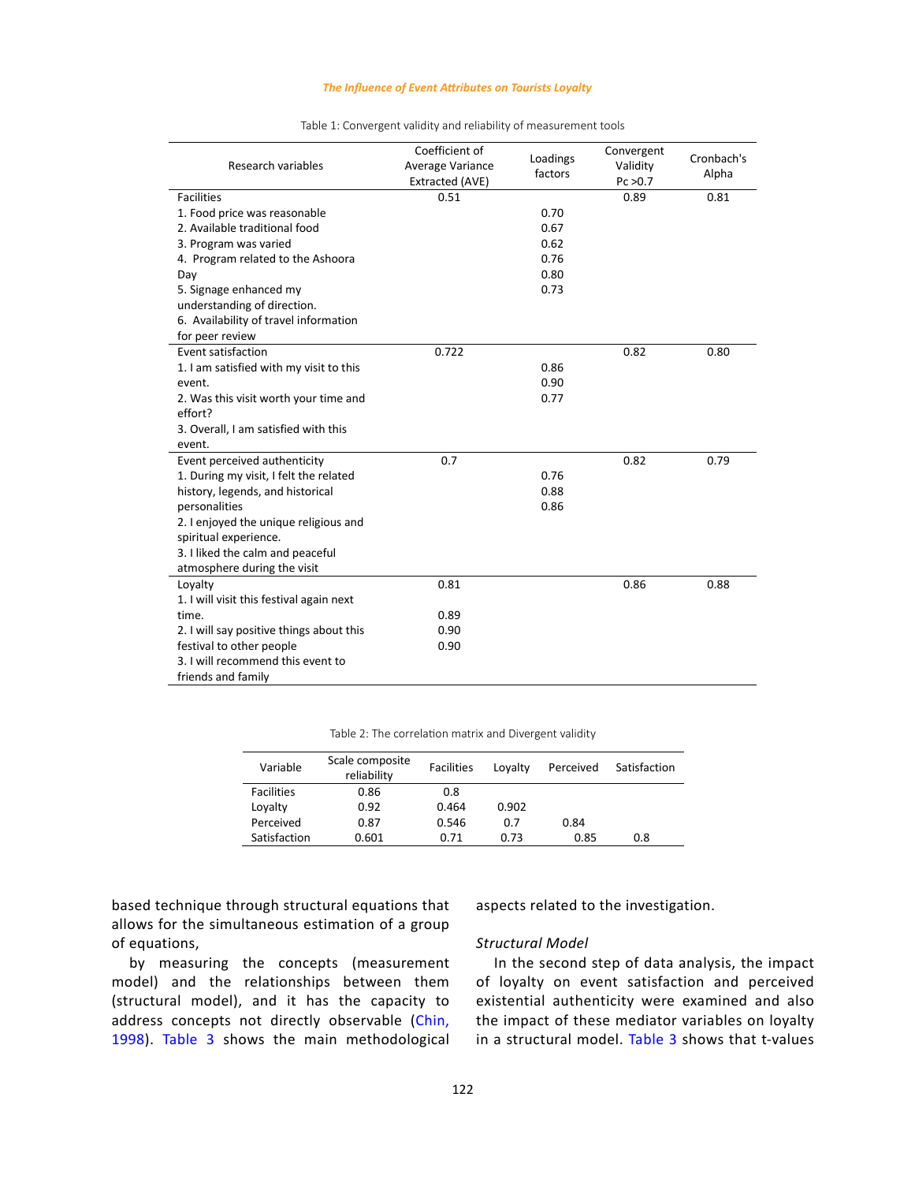#### *The Influence of Event Attributes on Tourists Loyalty*

| Research variables                       | Coefficient of<br>Average Variance<br>Extracted (AVE) | Loadings<br>factors | Convergent<br>Validity<br>Pc > 0.7 | Cronbach's<br>Alpha |
|------------------------------------------|-------------------------------------------------------|---------------------|------------------------------------|---------------------|
| <b>Facilities</b>                        | 0.51                                                  |                     | 0.89                               | 0.81                |
| 1. Food price was reasonable             |                                                       | 0.70                |                                    |                     |
| 2. Available traditional food            |                                                       | 0.67                |                                    |                     |
| 3. Program was varied                    |                                                       | 0.62                |                                    |                     |
| 4. Program related to the Ashoora        |                                                       | 0.76                |                                    |                     |
| Day                                      |                                                       | 0.80                |                                    |                     |
| 5. Signage enhanced my                   |                                                       | 0.73                |                                    |                     |
| understanding of direction.              |                                                       |                     |                                    |                     |
| 6. Availability of travel information    |                                                       |                     |                                    |                     |
| for peer review                          |                                                       |                     |                                    |                     |
| Event satisfaction                       | 0.722                                                 |                     | 0.82                               | 0.80                |
| 1. I am satisfied with my visit to this  |                                                       | 0.86                |                                    |                     |
| event.                                   |                                                       | 0.90                |                                    |                     |
| 2. Was this visit worth your time and    |                                                       | 0.77                |                                    |                     |
| effort?                                  |                                                       |                     |                                    |                     |
| 3. Overall, I am satisfied with this     |                                                       |                     |                                    |                     |
| event.                                   |                                                       |                     |                                    |                     |
| Event perceived authenticity             | 0.7                                                   |                     | 0.82                               | 0.79                |
| 1. During my visit, I felt the related   |                                                       | 0.76                |                                    |                     |
| history, legends, and historical         |                                                       | 0.88                |                                    |                     |
| personalities                            |                                                       | 0.86                |                                    |                     |
| 2. I enjoyed the unique religious and    |                                                       |                     |                                    |                     |
| spiritual experience.                    |                                                       |                     |                                    |                     |
| 3. I liked the calm and peaceful         |                                                       |                     |                                    |                     |
| atmosphere during the visit              |                                                       |                     |                                    |                     |
| Loyalty                                  | 0.81                                                  |                     | 0.86                               | 0.88                |
| 1. I will visit this festival again next |                                                       |                     |                                    |                     |
| time.                                    | 0.89                                                  |                     |                                    |                     |
| 2. I will say positive things about this | 0.90                                                  |                     |                                    |                     |
| festival to other people                 | 0.90                                                  |                     |                                    |                     |
| 3. I will recommend this event to        |                                                       |                     |                                    |                     |
| friends and family                       |                                                       |                     |                                    |                     |

#### Table 1. Convergent validity and reliability of measurement tools Table 1: Convergent validity and reliability of measurement tools

Table 2: The correlation matrix and Divergent validity

| Variable          | Scale composite<br>reliability | <b>Facilities</b> | Lovalty | Perceived | Satisfaction |
|-------------------|--------------------------------|-------------------|---------|-----------|--------------|
| <b>Facilities</b> | 0.86                           | 0.8               |         |           |              |
| Loyalty           | 0.92                           | 0.464             | 0.902   |           |              |
| Perceived         | 0.87                           | 0.546             | 0.7     | 0.84      |              |
| Satisfaction      | 0.601                          | 0.71              | 0.73    | 0.85      | 0.8          |

based technique through structural equations that allows for the simultaneous estimation of a group of equations,

by measuring the concepts (measurement model) and the relationships between them (structural model), and it has the capacity to address concepts not directly observable (Chin, 1998). Table 3 shows the main methodological aspects related to the investigation.

## *Structural Model*

In the second step of data analysis, the impact of loyalty on event satisfaction and perceived existential authenticity were examined and also the impact of these mediator variables on loyalty in a structural model. Table 3 shows that t-values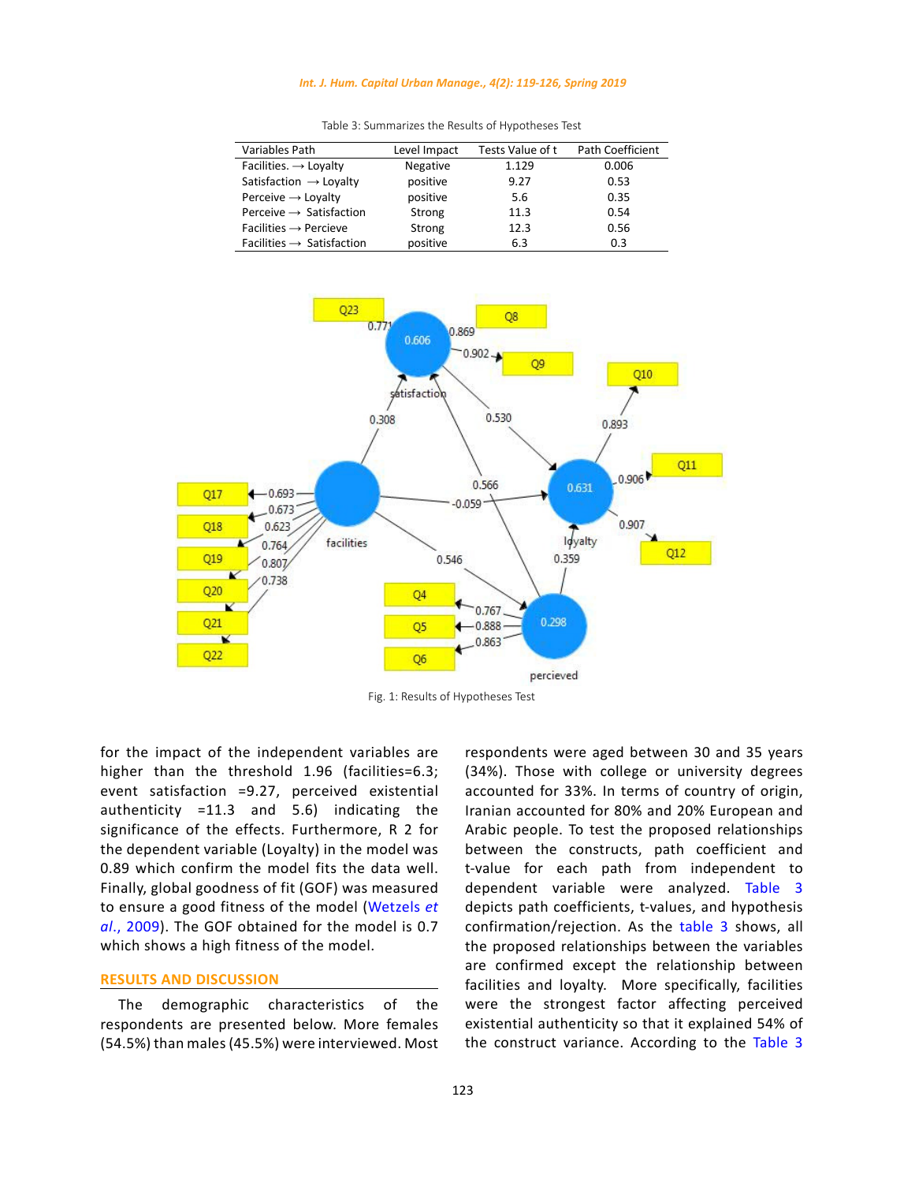### *Int. J. Hum. Capital Urban Manage., 4(2): 119-126, Spring 2019*

| Variables Path                        | Level Impact    | Tests Value of t | Path Coefficient |
|---------------------------------------|-----------------|------------------|------------------|
| Facilities. $\rightarrow$ Loyalty     | <b>Negative</b> | 1.129            | 0.006            |
| Satisfaction $\rightarrow$ Loyalty    | positive        | 9.27             | 0.53             |
| Perceive $\rightarrow$ Loyalty        | positive        | 5.6              | 0.35             |
| Perceive $\rightarrow$ Satisfaction   | Strong          | 11.3             | 0.54             |
| Facilities $\rightarrow$ Percieve     | Strong          | 12.3             | 0.56             |
| Facilities $\rightarrow$ Satisfaction | positive        | 6.3              | 0.3              |

Table 3. Summarizes the Results of Hypotheses Test Table 3: Summarizes the Results of Hypotheses Test



Fig. 1: Results of Hypotheses Test

for the impact of the independent variables are higher than the threshold 1.96 (facilities=6.3; event satisfaction =9.27, perceived existential authenticity =11.3 and 5.6) indicating the significance of the effects. Furthermore, R 2 for the dependent variable (Loyalty) in the model was 0.89 which confirm the model fits the data well. Finally, global goodness of fit (GOF) was measured to ensure a good fitness of the model (Wetzels *et al*., 2009). The GOF obtained for the model is 0.7 which shows a high fitness of the model.

### **RESULTS AND DISCUSSION**

The demographic characteristics of the respondents are presented below. More females (54.5%) than males (45.5%) were interviewed. Most

respondents were aged between 30 and 35 years (34%). Those with college or university degrees accounted for 33%. In terms of country of origin, Iranian accounted for 80% and 20% European and Arabic people. To test the proposed relationships between the constructs, path coefficient and t-value for each path from independent to dependent variable were analyzed. Table 3 depicts path coefficients, t-values, and hypothesis confirmation/rejection. As the table 3 shows, all the proposed relationships between the variables are confirmed except the relationship between facilities and loyalty. More specifically, facilities were the strongest factor affecting perceived existential authenticity so that it explained 54% of the construct variance. According to the Table 3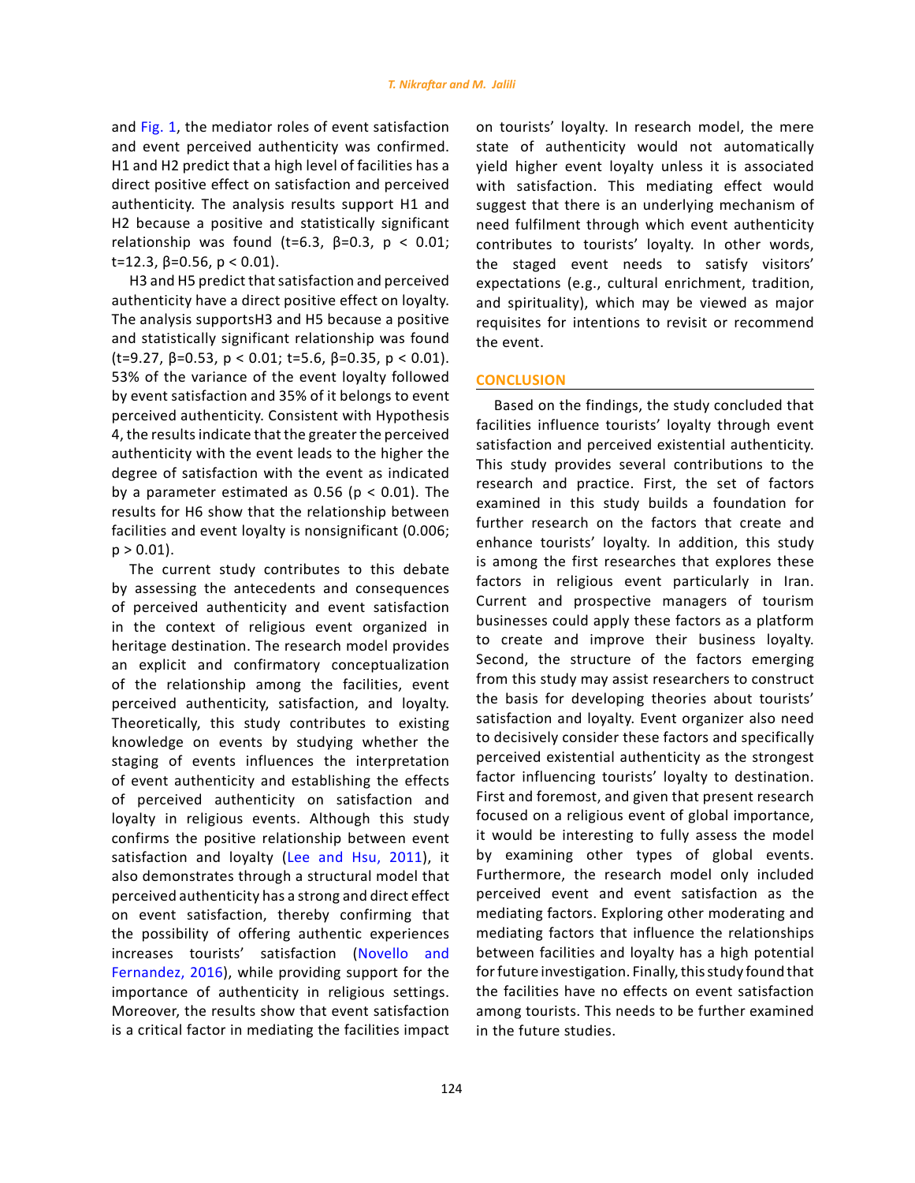and Fig. 1, the mediator roles of event satisfaction and event perceived authenticity was confirmed. H1 and H2 predict that a high level of facilities has a direct positive effect on satisfaction and perceived authenticity. The analysis results support H1 and H2 because a positive and statistically significant relationship was found (t=6.3,  $\beta$ =0.3, p < 0.01; t=12.3, β=0.56, p < 0.01).

H3 and H5 predict that satisfaction and perceived authenticity have a direct positive effect on loyalty. The analysis supportsH3 and H5 because a positive and statistically significant relationship was found (t=9.27,  $\beta$ =0.53,  $p < 0.01$ ; t=5.6,  $\beta$ =0.35,  $p < 0.01$ ). 53% of the variance of the event loyalty followed by event satisfaction and 35% of it belongs to event perceived authenticity. Consistent with Hypothesis 4, the results indicate that the greater the perceived authenticity with the event leads to the higher the degree of satisfaction with the event as indicated by a parameter estimated as  $0.56$  ( $p < 0.01$ ). The results for H6 show that the relationship between facilities and event loyalty is nonsignificant (0.006;  $p > 0.01$ ).

The current study contributes to this debate by assessing the antecedents and consequences of perceived authenticity and event satisfaction in the context of religious event organized in heritage destination. The research model provides an explicit and confirmatory conceptualization of the relationship among the facilities, event perceived authenticity, satisfaction, and loyalty. Theoretically, this study contributes to existing knowledge on events by studying whether the staging of events influences the interpretation of event authenticity and establishing the effects of perceived authenticity on satisfaction and loyalty in religious events. Although this study confirms the positive relationship between event satisfaction and loyalty (Lee and Hsu, 2011), it also demonstrates through a structural model that perceived authenticity has a strong and direct effect on event satisfaction, thereby confirming that the possibility of offering authentic experiences increases tourists' satisfaction ([Novello](http://journals.sagepub.com/author/Novello%2C+Simone) and [Fernandez,](http://journals.sagepub.com/author/Fernandez%2C+Pilar+Murias) 2016), while providing support for the importance of authenticity in religious settings. Moreover, the results show that event satisfaction is a critical factor in mediating the facilities impact

on tourists' loyalty. In research model, the mere state of authenticity would not automatically yield higher event loyalty unless it is associated with satisfaction. This mediating effect would suggest that there is an underlying mechanism of need fulfilment through which event authenticity contributes to tourists' loyalty. In other words, the staged event needs to satisfy visitors' expectations (e.g., cultural enrichment, tradition, and spirituality), which may be viewed as major requisites for intentions to revisit or recommend the event.

# **CONCLUSION**

Based on the findings, the study concluded that facilities influence tourists' loyalty through event satisfaction and perceived existential authenticity. This study provides several contributions to the research and practice. First, the set of factors examined in this study builds a foundation for further research on the factors that create and enhance tourists' loyalty. In addition, this study is among the first researches that explores these factors in religious event particularly in Iran. Current and prospective managers of tourism businesses could apply these factors as a platform to create and improve their business loyalty. Second, the structure of the factors emerging from this study may assist researchers to construct the basis for developing theories about tourists' satisfaction and loyalty. Event organizer also need to decisively consider these factors and specifically perceived existential authenticity as the strongest factor influencing tourists' loyalty to destination. First and foremost, and given that present research focused on a religious event of global importance, it would be interesting to fully assess the model by examining other types of global events. Furthermore, the research model only included perceived event and event satisfaction as the mediating factors. Exploring other moderating and mediating factors that influence the relationships between facilities and loyalty has a high potential for future investigation. Finally, this study found that the facilities have no effects on event satisfaction among tourists. This needs to be further examined in the future studies.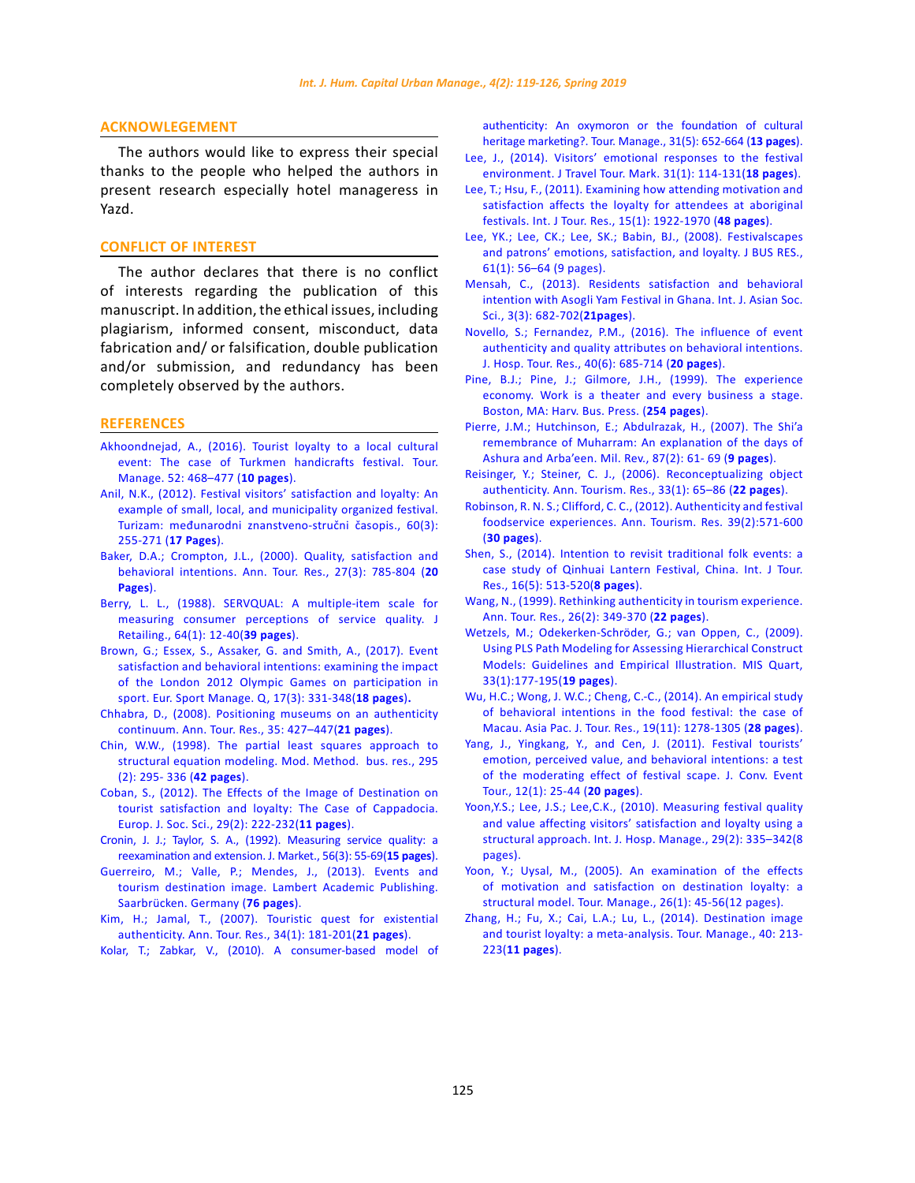## **ACKNOWLEGEMENT**

The authors would like to express their special thanks to the people who helped the authors in present research especially hotel manageress in Yazd.

# **CONFLICT OF INTEREST**

The author declares that there is no conflict of interests regarding the publication of this manuscript. In addition, the ethical issues, including plagiarism, informed consent, misconduct, data fabrication and/ or falsification, double publication and/or submission, and redundancy has been completely observed by the authors.

### **REFERENCES**

- [Akhoondnejad, A., \(2016\). Tourist loyalty to a local cultural](https://www.sciencedirect.com/science/article/pii/S026151771500151X)  [event: The case of Turkmen handicrafts festival. Tour.](https://www.sciencedirect.com/science/article/pii/S026151771500151X)  [Manage. 52: 468–477 \(](https://www.sciencedirect.com/science/article/pii/S026151771500151X)**10 pages**).
- Anil, N.K., (2012). Festival visitors' satisfaction and loyalty: An example of small, local, and municipality organized festival. Turizam: međunarodni znanstveno-stručni časopis., 60(3): 255-271 (**17 Pages**).
- [Baker, D.A.; Crompton, J.L., \(2000\). Quality, satisfaction and](https://www.sciencedirect.com/science/article/pii/S0160738399001085)  [behavioral intentions. Ann. Tour. Res., 27\(3\): 785-804 \(](https://www.sciencedirect.com/science/article/pii/S0160738399001085)**20 [Pages](https://www.sciencedirect.com/science/article/pii/S0160738399001085)**).
- [Berry, L. L., \(1988\). SERVQUAL: A multiple-item scale for](https://search.proquest.com/docview/228609374?pq-origsite=gscholar)  [measuring consumer perceptions of service quality. J](https://search.proquest.com/docview/228609374?pq-origsite=gscholar)  [Retailing., 64\(1\): 12-40\(](https://search.proquest.com/docview/228609374?pq-origsite=gscholar)**39 pages**).
- [Brown, G.; Essex, S., Assaker, G. and Smith, A., \(2017\). Event](https://www.tandfonline.com/doi/abs/10.1080/16184742.2017.1294193)  [satisfaction and behavioral intentions: examining the impact](https://www.tandfonline.com/doi/abs/10.1080/16184742.2017.1294193)  [of the London 2012 Olympic Games on participation in](https://www.tandfonline.com/doi/abs/10.1080/16184742.2017.1294193)  [sport. Eur. Sport Manage. Q, 17\(3\): 331-348\(](https://www.tandfonline.com/doi/abs/10.1080/16184742.2017.1294193)**18 pages**)**.**
- [Chhabra, D., \(2008\). Positioning museums on an authenticity](https://www.sciencedirect.com/science/article/abs/pii/S0160738307001417)  [continuum. Ann. Tour. Res., 35: 427–447\(](https://www.sciencedirect.com/science/article/abs/pii/S0160738307001417)**21 pages**).
- Chin, W.W., (1998). The partial least squares approach to structural equation modeling. Mod. Method. bus. res., 295 (2): 295- 336 (**[42 pages](https://www.researchgate.net/publication/311766005_The_Partial_Least_Squares_Approach_to_Structural_Equation_Modeling)**).
- [Coban, S., \(2012\). The Effects of the Image of Destination on](https://www.europeanjournalofsocialsciences.com/issues/EJSS_29_2.html)  [tourist satisfaction and loyalty: The Case of Cappadocia.](https://www.europeanjournalofsocialsciences.com/issues/EJSS_29_2.html)  [Europ. J. Soc. Sci., 29\(2\): 222-232\(](https://www.europeanjournalofsocialsciences.com/issues/EJSS_29_2.html)**11 pages**).
- [Cronin, J. J.; Taylor, S. A., \(1992\). Measuring service quality: a](https://www.jstor.org/stable/1252296)  [reexamination and extension. J. Market., 56\(3\): 55-69\(](https://www.jstor.org/stable/1252296)**15 pages**).
- [Guerreiro, M.; Valle, P.; Mendes, J., \(2013\). Events and](https://www.researchgate.net/publication/301233156_Events_and_Tourism_Destination_Image)  [tourism destination image. Lambert Academic Publishing.](https://www.researchgate.net/publication/301233156_Events_and_Tourism_Destination_Image)  [Saarbrücken. Germany \(](https://www.researchgate.net/publication/301233156_Events_and_Tourism_Destination_Image)**76 pages**).
- [Kim, H.; Jamal, T., \(2007\). Touristic quest for existential](https://www.sciencedirect.com/science/article/abs/pii/S0160738306001058)  [authenticity. Ann. Tour. Res., 34\(1\): 181-201\(](https://www.sciencedirect.com/science/article/abs/pii/S0160738306001058)**21 pages**).
- [Kolar, T.; Zabkar, V., \(2010\). A consumer-based model of](https://www.sciencedirect.com/science/article/pii/S0261517709001368)

[authenticity: An oxymoron or the foundation of cultural](https://www.sciencedirect.com/science/article/pii/S0261517709001368) [heritage marketing?. Tour. Manage., 31\(5\): 652-664 \(](https://www.sciencedirect.com/science/article/pii/S0261517709001368)**13 pages**).

- [Lee, J., \(2014\). Visitors' emotional responses to the festival](https://www.tandfonline.com/doi/abs/10.1080/10548408.2014.861726) [environment. J Travel Tour. Mark. 31\(1\): 114-131\(](https://www.tandfonline.com/doi/abs/10.1080/10548408.2014.861726)**18 pages**).
- [Lee, T.; Hsu, F., \(2011\). Examining how attending motivation and](https://onlinelibrary.wiley.com/doi/abs/10.1002/jtr.867) [satisfaction affects the loyalty for attendees at aboriginal](https://onlinelibrary.wiley.com/doi/abs/10.1002/jtr.867) [festivals. Int. J Tour. Res., 15\(1\): 1922-1970 \(](https://onlinelibrary.wiley.com/doi/abs/10.1002/jtr.867)**48 pages**).
- [Lee, YK.; Lee, CK.; Lee, SK.; Babin, BJ., \(2008\). Festivalscapes](https://www.sciencedirect.com/science/article/abs/pii/S0148296307001348) [and patrons' emotions, satisfaction, and loyalty. J BUS RES.,](https://www.sciencedirect.com/science/article/abs/pii/S0148296307001348) [61\(1\): 56–64 \(9 pages\).](https://www.sciencedirect.com/science/article/abs/pii/S0148296307001348)
- [Mensah, C., \(2013\). Residents satisfaction and behavioral](https://www.researchgate.net/publication/318316443_Residents) [intention with Asogli Yam Festival in Ghana. Int. J. Asian Soc.](https://www.researchgate.net/publication/318316443_Residents) [Sci., 3\(3\): 682-702\(](https://www.researchgate.net/publication/318316443_Residents)**21pages**).
- [Novello, S.; Fernandez, P.M., \(2016\). The influence of event](https://journals.sagepub.com/doi/abs/10.1177/1096348013515914) [authenticity and quality attributes on behavioral intentions.](https://journals.sagepub.com/doi/abs/10.1177/1096348013515914) [J. Hosp. Tour. Res., 40\(6\): 685-714 \(](https://journals.sagepub.com/doi/abs/10.1177/1096348013515914)**20 pages**).
- [Pine, B.J.; Pine, J.; Gilmore, J.H., \(1999\). The experience](https://books.google.com/books?hl=en&lr=&id=5hs-tyRrSXMC&oi=fnd&pg=PA1&dq=Pine,+J.B.I.%3B+Gilmore,+J.H.+(1999).+The+experience+economy.+Work+is+a+theater+and+every+business+a+stage.+Boston,+MA:+Harv.+Bus.+School+Press.+(254+pages).&ots=ILo_YEiOnf&sig=47r6obnrC25zVTyNpk6ANN5fQFM) [economy. Work is a theater and every business a stage.](https://books.google.com/books?hl=en&lr=&id=5hs-tyRrSXMC&oi=fnd&pg=PA1&dq=Pine,+J.B.I.%3B+Gilmore,+J.H.+(1999).+The+experience+economy.+Work+is+a+theater+and+every+business+a+stage.+Boston,+MA:+Harv.+Bus.+School+Press.+(254+pages).&ots=ILo_YEiOnf&sig=47r6obnrC25zVTyNpk6ANN5fQFM) [Boston, MA: Harv. Bus. Press. \(](https://books.google.com/books?hl=en&lr=&id=5hs-tyRrSXMC&oi=fnd&pg=PA1&dq=Pine,+J.B.I.%3B+Gilmore,+J.H.+(1999).+The+experience+economy.+Work+is+a+theater+and+every+business+a+stage.+Boston,+MA:+Harv.+Bus.+School+Press.+(254+pages).&ots=ILo_YEiOnf&sig=47r6obnrC25zVTyNpk6ANN5fQFM)**254 pages**).
- [Pierre, J.M.; Hutchinson, E.; Abdulrazak, H., \(2007\). The Shi'a](https://www.questia.com/library/journal/1P3-1248982501/the-shi-a-remembrance-of-muharram-an-explanation) [remembrance of Muharram: An explanation of the days of](https://www.questia.com/library/journal/1P3-1248982501/the-shi-a-remembrance-of-muharram-an-explanation) [Ashura and Arba'een. Mil. Rev., 87\(2\): 61- 69 \(](https://www.questia.com/library/journal/1P3-1248982501/the-shi-a-remembrance-of-muharram-an-explanation)**9 pages**).
- [Reisinger, Y.; Steiner, C. J., \(2006\). Reconceptualizing object](https://www.sciencedirect.com/science/article/abs/pii/S0160738305000897) [authenticity. Ann. Tourism. Res., 33\(1\): 65–86 \(](https://www.sciencedirect.com/science/article/abs/pii/S0160738305000897)**22 pages**).
- [Robinson, R. N. S.; Clifford, C. C., \(2012\). Authenticity and festival](https://onlinelibrary.wiley.com/doi/abs/10.1111/j.1745-4506.2008.00096.x) [foodservice experiences. Ann. Tourism. Res. 39\(2\):571-600](https://onlinelibrary.wiley.com/doi/abs/10.1111/j.1745-4506.2008.00096.x) (**[30 pages](https://onlinelibrary.wiley.com/doi/abs/10.1111/j.1745-4506.2008.00096.x)**).
- [Shen, S., \(2014\). Intention to revisit traditional folk events: a](https://onlinelibrary.wiley.com/doi/abs/10.1002/jtr.1949) [case study of Qinhuai Lantern Festival, China. Int. J Tour.](https://onlinelibrary.wiley.com/doi/abs/10.1002/jtr.1949) [Res., 16\(5\): 513-520\(](https://onlinelibrary.wiley.com/doi/abs/10.1002/jtr.1949)**8 pages**).
- [Wang, N., \(1999\). Rethinking authenticity in tourism experience.](file:///E:/Rezaei/JOURNALS/IJHCUM.%201226-%20Galley%20Proof/../AppData/AppData/Local/AppData/Local/Temp/Wang, N., (1999). Rethinking authenticity in tourism experience. Ann. Tour. Res., 26(2): 349-370 (22 pages).) [Ann. Tour. Res., 26\(2\): 349-370 \(](file:///E:/Rezaei/JOURNALS/IJHCUM.%201226-%20Galley%20Proof/../AppData/AppData/Local/AppData/Local/Temp/Wang, N., (1999). Rethinking authenticity in tourism experience. Ann. Tour. Res., 26(2): 349-370 (22 pages).)**22 pages**).
- [Wetzels, M.; Odekerken-Schröder, G.; van Oppen, C., \(2009\).](https://www.jstor.org/stable/20650284?seq=1#page_scan_tab_contents) [Using PLS Path Modeling for Assessing Hierarchical Construct](https://www.jstor.org/stable/20650284?seq=1#page_scan_tab_contents) [Models: Guidelines and Empirical Illustration. MIS Quart,](https://www.jstor.org/stable/20650284?seq=1#page_scan_tab_contents) [33\(1\):177-195\(](https://www.jstor.org/stable/20650284?seq=1#page_scan_tab_contents)**19 pages**).
- [Wu, H.C.; Wong, J. W.C.; Cheng, C.-C., \(2014\). An empirical study](https://www.tandfonline.com/doi/abs/10.1080/10941665.2013.844182) [of behavioral intentions in the food festival: the case of](https://www.tandfonline.com/doi/abs/10.1080/10941665.2013.844182) [Macau. Asia Pac. J. Tour. Res., 19\(11\): 1278-1305 \(](https://www.tandfonline.com/doi/abs/10.1080/10941665.2013.844182)**28 pages**).
- [Yang, J., Yingkang, Y., and Cen, J. \(2011\). Festival tourists'](file:///E:/Rezaei/JOURNALS/IJHCUM.%201226-%20Galley%20Proof/../AppData/AppData/Local/AppData/Local/Temp/Yang, J., Yingkang, Y., and Cen, J. (2011). Festival tourists) [emotion, perceived value, and behavioral intentions: a test](file:///E:/Rezaei/JOURNALS/IJHCUM.%201226-%20Galley%20Proof/../AppData/AppData/Local/AppData/Local/Temp/Yang, J., Yingkang, Y., and Cen, J. (2011). Festival tourists) [of the moderating effect of festival scape. J. Conv. Event](file:///E:/Rezaei/JOURNALS/IJHCUM.%201226-%20Galley%20Proof/../AppData/AppData/Local/AppData/Local/Temp/Yang, J., Yingkang, Y., and Cen, J. (2011). Festival tourists) [Tour., 12\(1\): 25-44 \(](file:///E:/Rezaei/JOURNALS/IJHCUM.%201226-%20Galley%20Proof/../AppData/AppData/Local/AppData/Local/Temp/Yang, J., Yingkang, Y., and Cen, J. (2011). Festival tourists)**20 pages**).
- [Yoon,Y.S.; Lee, J.S.; Lee,C.K., \(2010\). Measuring festival quality](https://www.sciencedirect.com/science/article/pii/S0278431909001108) [and value affecting visitors' satisfaction and loyalty using a](https://www.sciencedirect.com/science/article/pii/S0278431909001108) [structural approach. Int. J. Hosp. Manage., 29\(2\): 335–342\(8](https://www.sciencedirect.com/science/article/pii/S0278431909001108) [pages\).](https://www.sciencedirect.com/science/article/pii/S0278431909001108)
- [Yoon, Y.; Uysal, M., \(2005\). An examination of the effects](file:///E:/Rezaei/JOURNALS/IJHCUM.%201226-%20Galley%20Proof/../AppData/AppData/Local/AppData/Local/Temp/Yoon, Y.; Uysal, M., (2005). An examination of the effects of motivation and satisfaction on destination loyalty: a structural model. Tour. Manage., 26(1): 45-56(12 pages).) [of motivation and satisfaction on destination loyalty: a](file:///E:/Rezaei/JOURNALS/IJHCUM.%201226-%20Galley%20Proof/../AppData/AppData/Local/AppData/Local/Temp/Yoon, Y.; Uysal, M., (2005). An examination of the effects of motivation and satisfaction on destination loyalty: a structural model. Tour. Manage., 26(1): 45-56(12 pages).) [structural model. Tour. Manage., 26\(1\): 45-56\(12 pages\).](file:///E:/Rezaei/JOURNALS/IJHCUM.%201226-%20Galley%20Proof/../AppData/AppData/Local/AppData/Local/Temp/Yoon, Y.; Uysal, M., (2005). An examination of the effects of motivation and satisfaction on destination loyalty: a structural model. Tour. Manage., 26(1): 45-56(12 pages).)
- [Zhang, H.; Fu, X.; Cai, L.A.; Lu, L., \(2014\). Destination image](file:///E:/Rezaei/JOURNALS/IJHCUM.%201226-%20Galley%20Proof/../AppData/AppData/Local/AppData/Local/Temp/Zhang, H.; Fu, X.; Cai, L.A.; Lu, L., (2014). Destination image and tourist loyalty: a meta-analysis. Tour. Manage., 40: 213-223(11 pages).) [and tourist loyalty: a meta-analysis. Tour. Manage., 40: 213-](file:///E:/Rezaei/JOURNALS/IJHCUM.%201226-%20Galley%20Proof/../AppData/AppData/Local/AppData/Local/Temp/Zhang, H.; Fu, X.; Cai, L.A.; Lu, L., (2014). Destination image and tourist loyalty: a meta-analysis. Tour. Manage., 40: 213-223(11 pages).) 223(**[11 pages](file:///E:/Rezaei/JOURNALS/IJHCUM.%201226-%20Galley%20Proof/../AppData/AppData/Local/AppData/Local/Temp/Zhang, H.; Fu, X.; Cai, L.A.; Lu, L., (2014). Destination image and tourist loyalty: a meta-analysis. Tour. Manage., 40: 213-223(11 pages).)**).